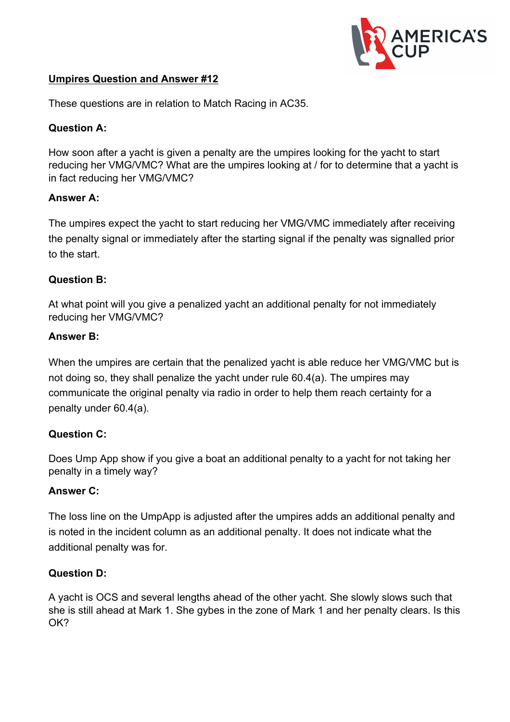

### **Umpires Question and Answer #12**

These questions are in relation to Match Racing in AC35.

### **Question A:**

How soon after a yacht is given a penalty are the umpires looking for the yacht to start reducing her VMG/VMC? What are the umpires looking at / for to determine that a yacht is in fact reducing her VMG/VMC?

#### **Answer A:**

The umpires expect the yacht to start reducing her VMG/VMC immediately after receiving the penalty signal or immediately after the starting signal if the penalty was signalled prior to the start.

## **Question B:**

At what point will you give a penalized yacht an additional penalty for not immediately reducing her VMG/VMC?

#### **Answer B:**

When the umpires are certain that the penalized yacht is able reduce her VMG/VMC but is not doing so, they shall penalize the yacht under rule 60.4(a). The umpires may communicate the original penalty via radio in order to help them reach certainty for a penalty under 60.4(a).

#### **Question C:**

Does Ump App show if you give a boat an additional penalty to a yacht for not taking her penalty in a timely way?

#### **Answer C:**

The loss line on the UmpApp is adjusted after the umpires adds an additional penalty and is noted in the incident column as an additional penalty. It does not indicate what the additional penalty was for.

#### **Question D:**

A yacht is OCS and several lengths ahead of the other yacht. She slowly slows such that she is still ahead at Mark 1. She gybes in the zone of Mark 1 and her penalty clears. Is this OK?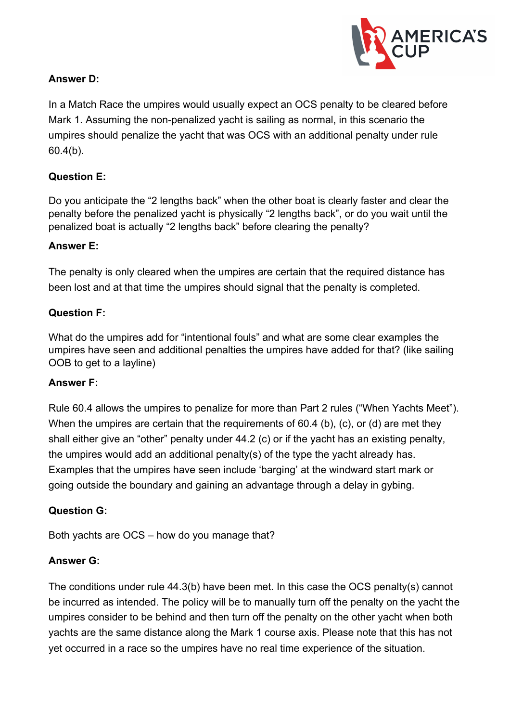

### **Answer D:**

In a Match Race the umpires would usually expect an OCS penalty to be cleared before Mark 1. Assuming the non-penalized yacht is sailing as normal, in this scenario the umpires should penalize the yacht that was OCS with an additional penalty under rule 60.4(b).

# **Question E:**

Do you anticipate the "2 lengths back" when the other boat is clearly faster and clear the penalty before the penalized yacht is physically "2 lengths back", or do you wait until the penalized boat is actually "2 lengths back" before clearing the penalty?

#### **Answer E:**

The penalty is only cleared when the umpires are certain that the required distance has been lost and at that time the umpires should signal that the penalty is completed.

#### **Question F:**

What do the umpires add for "intentional fouls" and what are some clear examples the umpires have seen and additional penalties the umpires have added for that? (like sailing OOB to get to a layline)

#### **Answer F:**

Rule 60.4 allows the umpires to penalize for more than Part 2 rules ("When Yachts Meet"). When the umpires are certain that the requirements of 60.4 (b), (c), or (d) are met they shall either give an "other" penalty under 44.2 (c) or if the yacht has an existing penalty, the umpires would add an additional penalty(s) of the type the yacht already has. Examples that the umpires have seen include 'barging' at the windward start mark or going outside the boundary and gaining an advantage through a delay in gybing.

#### **Question G:**

Both yachts are OCS – how do you manage that?

#### **Answer G:**

The conditions under rule 44.3(b) have been met. In this case the OCS penalty(s) cannot be incurred as intended. The policy will be to manually turn off the penalty on the yacht the umpires consider to be behind and then turn off the penalty on the other yacht when both yachts are the same distance along the Mark 1 course axis. Please note that this has not yet occurred in a race so the umpires have no real time experience of the situation.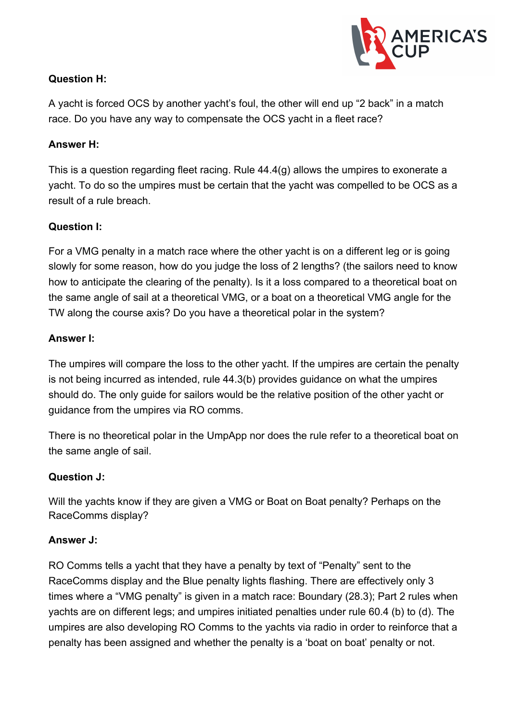

# **Question H:**

A yacht is forced OCS by another yacht's foul, the other will end up "2 back" in a match race. Do you have any way to compensate the OCS yacht in a fleet race?

#### **Answer H:**

This is a question regarding fleet racing. Rule 44.4(g) allows the umpires to exonerate a yacht. To do so the umpires must be certain that the yacht was compelled to be OCS as a result of a rule breach.

## **Question I:**

For a VMG penalty in a match race where the other yacht is on a different leg or is going slowly for some reason, how do you judge the loss of 2 lengths? (the sailors need to know how to anticipate the clearing of the penalty). Is it a loss compared to a theoretical boat on the same angle of sail at a theoretical VMG, or a boat on a theoretical VMG angle for the TW along the course axis? Do you have a theoretical polar in the system?

#### **Answer I:**

The umpires will compare the loss to the other yacht. If the umpires are certain the penalty is not being incurred as intended, rule 44.3(b) provides guidance on what the umpires should do. The only guide for sailors would be the relative position of the other yacht or guidance from the umpires via RO comms.

There is no theoretical polar in the UmpApp nor does the rule refer to a theoretical boat on the same angle of sail.

#### **Question J:**

Will the yachts know if they are given a VMG or Boat on Boat penalty? Perhaps on the RaceComms display?

#### **Answer J:**

RO Comms tells a yacht that they have a penalty by text of "Penalty" sent to the RaceComms display and the Blue penalty lights flashing. There are effectively only 3 times where a "VMG penalty" is given in a match race: Boundary (28.3); Part 2 rules when yachts are on different legs; and umpires initiated penalties under rule 60.4 (b) to (d). The umpires are also developing RO Comms to the yachts via radio in order to reinforce that a penalty has been assigned and whether the penalty is a 'boat on boat' penalty or not.